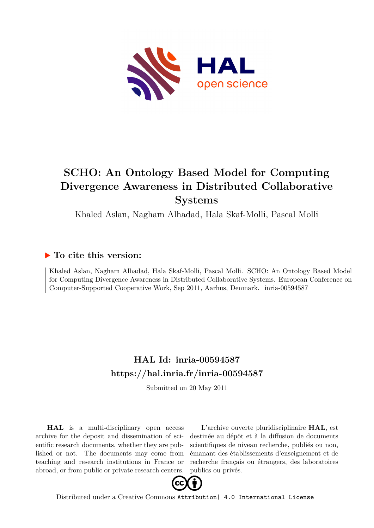

# **SCHO: An Ontology Based Model for Computing Divergence Awareness in Distributed Collaborative Systems**

Khaled Aslan, Nagham Alhadad, Hala Skaf-Molli, Pascal Molli

### **To cite this version:**

Khaled Aslan, Nagham Alhadad, Hala Skaf-Molli, Pascal Molli. SCHO: An Ontology Based Model for Computing Divergence Awareness in Distributed Collaborative Systems. European Conference on Computer-Supported Cooperative Work, Sep 2011, Aarhus, Denmark. inria-00594587

# **HAL Id: inria-00594587 <https://hal.inria.fr/inria-00594587>**

Submitted on 20 May 2011

**HAL** is a multi-disciplinary open access archive for the deposit and dissemination of scientific research documents, whether they are published or not. The documents may come from teaching and research institutions in France or abroad, or from public or private research centers.

L'archive ouverte pluridisciplinaire **HAL**, est destinée au dépôt et à la diffusion de documents scientifiques de niveau recherche, publiés ou non, émanant des établissements d'enseignement et de recherche français ou étrangers, des laboratoires publics ou privés.



Distributed under a Creative Commons [Attribution| 4.0 International License](http://creativecommons.org/licenses/by/4.0/)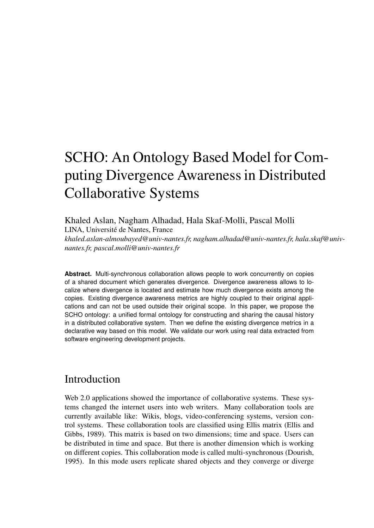# SCHO: An Ontology Based Model for Computing Divergence Awareness in Distributed Collaborative Systems

### Khaled Aslan, Nagham Alhadad, Hala Skaf-Molli, Pascal Molli

LINA, Université de Nantes, France

*khaled.aslan-almoubayed@univ-nantes.fr, nagham.alhadad@univ-nantes.fr, hala.skaf@univnantes.fr, pascal.molli@univ-nantes.fr*

**Abstract.** Multi-synchronous collaboration allows people to work concurrently on copies of a shared document which generates divergence. Divergence awareness allows to localize where divergence is located and estimate how much divergence exists among the copies. Existing divergence awareness metrics are highly coupled to their original applications and can not be used outside their original scope. In this paper, we propose the SCHO ontology: a unified formal ontology for constructing and sharing the causal history in a distributed collaborative system. Then we define the existing divergence metrics in a declarative way based on this model. We validate our work using real data extracted from software engineering development projects.

### Introduction

Web 2.0 applications showed the importance of collaborative systems. These systems changed the internet users into web writers. Many collaboration tools are currently available like: Wikis, blogs, video-conferencing systems, version control systems. These collaboration tools are classified using Ellis matrix (Ellis and Gibbs, 1989). This matrix is based on two dimensions; time and space. Users can be distributed in time and space. But there is another dimension which is working on different copies. This collaboration mode is called multi-synchronous (Dourish, 1995). In this mode users replicate shared objects and they converge or diverge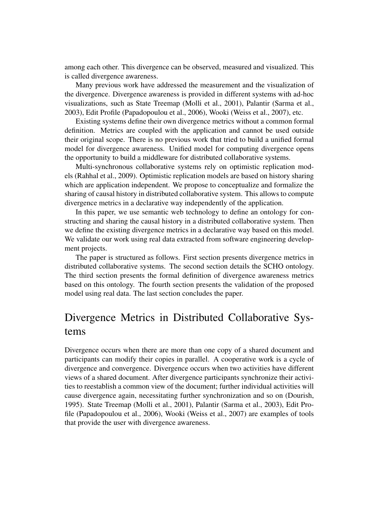among each other. This divergence can be observed, measured and visualized. This is called divergence awareness.

Many previous work have addressed the measurement and the visualization of the divergence. Divergence awareness is provided in different systems with ad-hoc visualizations, such as State Treemap (Molli et al., 2001), Palantir (Sarma et al., 2003), Edit Profile (Papadopoulou et al., 2006), Wooki (Weiss et al., 2007), etc.

Existing systems define their own divergence metrics without a common formal definition. Metrics are coupled with the application and cannot be used outside their original scope. There is no previous work that tried to build a unified formal model for divergence awareness. Unified model for computing divergence opens the opportunity to build a middleware for distributed collaborative systems.

Multi-synchronous collaborative systems rely on optimistic replication models (Rahhal et al., 2009). Optimistic replication models are based on history sharing which are application independent. We propose to conceptualize and formalize the sharing of causal history in distributed collaborative system. This allows to compute divergence metrics in a declarative way independently of the application.

In this paper, we use semantic web technology to define an ontology for constructing and sharing the causal history in a distributed collaborative system. Then we define the existing divergence metrics in a declarative way based on this model. We validate our work using real data extracted from software engineering development projects.

The paper is structured as follows. First section presents divergence metrics in distributed collaborative systems. The second section details the SCHO ontology. The third section presents the formal definition of divergence awareness metrics based on this ontology. The fourth section presents the validation of the proposed model using real data. The last section concludes the paper.

# Divergence Metrics in Distributed Collaborative Systems

Divergence occurs when there are more than one copy of a shared document and participants can modify their copies in parallel. A cooperative work is a cycle of divergence and convergence. Divergence occurs when two activities have different views of a shared document. After divergence participants synchronize their activities to reestablish a common view of the document; further individual activities will cause divergence again, necessitating further synchronization and so on (Dourish, 1995). State Treemap (Molli et al., 2001), Palantir (Sarma et al., 2003), Edit Profile (Papadopoulou et al., 2006), Wooki (Weiss et al., 2007) are examples of tools that provide the user with divergence awareness.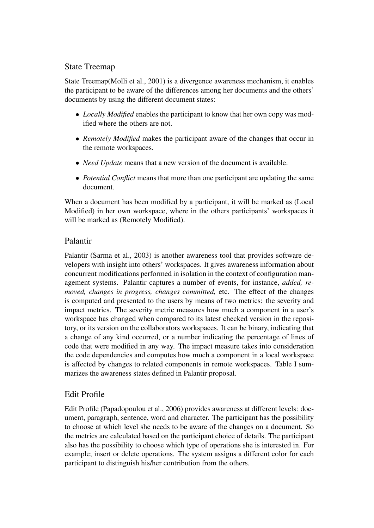#### State Treemap

State Treemap(Molli et al., 2001) is a divergence awareness mechanism, it enables the participant to be aware of the differences among her documents and the others' documents by using the different document states:

- *Locally Modified* enables the participant to know that her own copy was modified where the others are not.
- *Remotely Modified* makes the participant aware of the changes that occur in the remote workspaces.
- *Need Update* means that a new version of the document is available.
- *Potential Conflict* means that more than one participant are updating the same document.

When a document has been modified by a participant, it will be marked as (Local Modified) in her own workspace, where in the others participants' workspaces it will be marked as (Remotely Modified).

### Palantir

Palantir (Sarma et al., 2003) is another awareness tool that provides software developers with insight into others' workspaces. It gives awareness information about concurrent modifications performed in isolation in the context of configuration management systems. Palantir captures a number of events, for instance, *added, removed, changes in progress, changes committed,* etc. The effect of the changes is computed and presented to the users by means of two metrics: the severity and impact metrics. The severity metric measures how much a component in a user's workspace has changed when compared to its latest checked version in the repository, or its version on the collaborators workspaces. It can be binary, indicating that a change of any kind occurred, or a number indicating the percentage of lines of code that were modified in any way. The impact measure takes into consideration the code dependencies and computes how much a component in a local workspace is affected by changes to related components in remote workspaces. Table I summarizes the awareness states defined in Palantir proposal.

### Edit Profile

Edit Profile (Papadopoulou et al., 2006) provides awareness at different levels: document, paragraph, sentence, word and character. The participant has the possibility to choose at which level she needs to be aware of the changes on a document. So the metrics are calculated based on the participant choice of details. The participant also has the possibility to choose which type of operations she is interested in. For example; insert or delete operations. The system assigns a different color for each participant to distinguish his/her contribution from the others.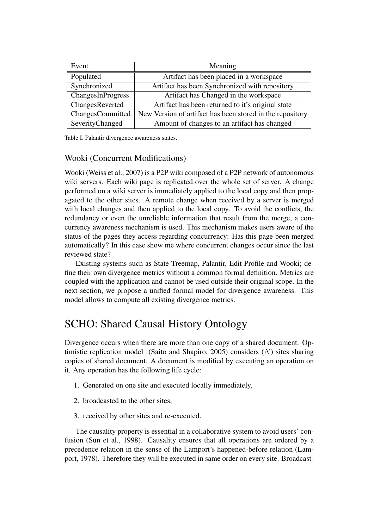| Event             | Meaning                                                   |  |
|-------------------|-----------------------------------------------------------|--|
| Populated         | Artifact has been placed in a workspace                   |  |
| Synchronized      | Artifact has been Synchronized with repository            |  |
| ChangesInProgress | Artifact has Changed in the workspace                     |  |
| ChangesReverted   | Artifact has been returned to it's original state         |  |
| ChangesCommitted  | New Version of artifact has been stored in the repository |  |
| SeverityChanged   | Amount of changes to an artifact has changed              |  |

Table I. Palantir divergence awareness states.

### Wooki (Concurrent Modifications)

Wooki (Weiss et al., 2007) is a P2P wiki composed of a P2P network of autonomous wiki servers. Each wiki page is replicated over the whole set of server. A change performed on a wiki server is immediately applied to the local copy and then propagated to the other sites. A remote change when received by a server is merged with local changes and then applied to the local copy. To avoid the conflicts, the redundancy or even the unreliable information that result from the merge, a concurrency awareness mechanism is used. This mechanism makes users aware of the status of the pages they access regarding concurrency: Has this page been merged automatically? In this case show me where concurrent changes occur since the last reviewed state?

Existing systems such as State Treemap, Palantir, Edit Profile and Wooki; define their own divergence metrics without a common formal definition. Metrics are coupled with the application and cannot be used outside their original scope. In the next section, we propose a unified formal model for divergence awareness. This model allows to compute all existing divergence metrics.

# SCHO: Shared Causal History Ontology

Divergence occurs when there are more than one copy of a shared document. Optimistic replication model (Saito and Shapiro, 2005) considers  $(N)$  sites sharing copies of shared document. A document is modified by executing an operation on it. Any operation has the following life cycle:

- 1. Generated on one site and executed locally immediately,
- 2. broadcasted to the other sites,
- 3. received by other sites and re-executed.

The causality property is essential in a collaborative system to avoid users' confusion (Sun et al., 1998). Causality ensures that all operations are ordered by a precedence relation in the sense of the Lamport's happened-before relation (Lamport, 1978). Therefore they will be executed in same order on every site. Broadcast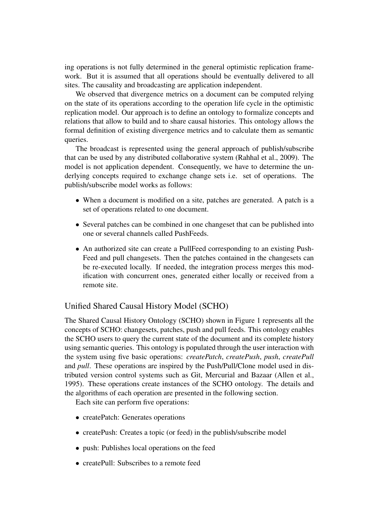ing operations is not fully determined in the general optimistic replication framework. But it is assumed that all operations should be eventually delivered to all sites. The causality and broadcasting are application independent.

We observed that divergence metrics on a document can be computed relying on the state of its operations according to the operation life cycle in the optimistic replication model. Our approach is to define an ontology to formalize concepts and relations that allow to build and to share causal histories. This ontology allows the formal definition of existing divergence metrics and to calculate them as semantic queries.

The broadcast is represented using the general approach of publish/subscribe that can be used by any distributed collaborative system (Rahhal et al., 2009). The model is not application dependent. Consequently, we have to determine the underlying concepts required to exchange change sets i.e. set of operations. The publish/subscribe model works as follows:

- When a document is modified on a site, patches are generated. A patch is a set of operations related to one document.
- Several patches can be combined in one changes t that can be published into one or several channels called PushFeeds.
- An authorized site can create a PullFeed corresponding to an existing Push-Feed and pull changesets. Then the patches contained in the changesets can be re-executed locally. If needed, the integration process merges this modification with concurrent ones, generated either locally or received from a remote site.

#### Unified Shared Causal History Model (SCHO)

The Shared Causal History Ontology (SCHO) shown in Figure 1 represents all the concepts of SCHO: changesets, patches, push and pull feeds. This ontology enables the SCHO users to query the current state of the document and its complete history using semantic queries. This ontology is populated through the user interaction with the system using five basic operations: *createPatch*, *createPush*, *push*, *createPull* and *pull*. These operations are inspired by the Push/Pull/Clone model used in distributed version control systems such as Git, Mercurial and Bazaar (Allen et al., 1995). These operations create instances of the SCHO ontology. The details and the algorithms of each operation are presented in the following section.

Each site can perform five operations:

- createPatch: Generates operations
- createPush: Creates a topic (or feed) in the publish/subscribe model
- push: Publishes local operations on the feed
- createPull: Subscribes to a remote feed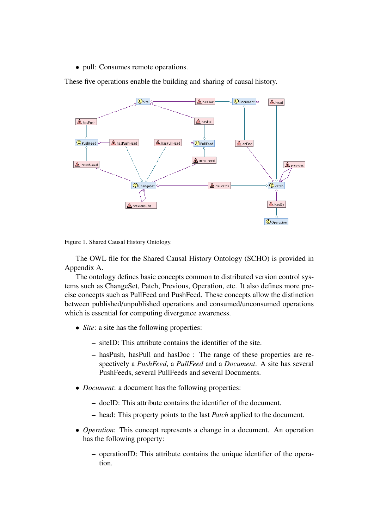• pull: Consumes remote operations.

These five operations enable the building and sharing of causal history.



Figure 1. Shared Causal History Ontology.

The OWL file for the Shared Causal History Ontology (SCHO) is provided in Appendix A.

The ontology defines basic concepts common to distributed version control systems such as ChangeSet, Patch, Previous, Operation, etc. It also defines more precise concepts such as PullFeed and PushFeed. These concepts allow the distinction between published/unpublished operations and consumed/unconsumed operations which is essential for computing divergence awareness.

- *Site*: a site has the following properties:
	- siteID: This attribute contains the identifier of the site.
	- hasPush, hasPull and hasDoc : The range of these properties are respectively a *PushFeed*, a *PullFeed* and a *Document*. A site has several PushFeeds, several PullFeeds and several Documents.
- *Document*: a document has the following properties:
	- docID: This attribute contains the identifier of the document.
	- head: This property points to the last *Patch* applied to the document.
- *Operation*: This concept represents a change in a document. An operation has the following property:
	- operationID: This attribute contains the unique identifier of the operation.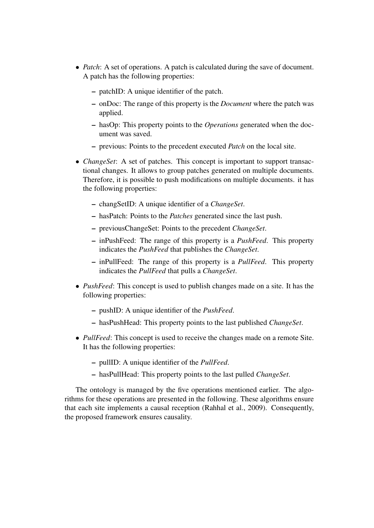- *Patch*: A set of operations. A patch is calculated during the save of document. A patch has the following properties:
	- patchID: A unique identifier of the patch.
	- onDoc: The range of this property is the *Document* where the patch was applied.
	- hasOp: This property points to the *Operations* generated when the document was saved.
	- previous: Points to the precedent executed *Patch* on the local site.
- *ChangeSet*: A set of patches. This concept is important to support transactional changes. It allows to group patches generated on multiple documents. Therefore, it is possible to push modifications on multiple documents. it has the following properties:
	- changSetID: A unique identifier of a *ChangeSet*.
	- hasPatch: Points to the *Patches* generated since the last push.
	- previousChangeSet: Points to the precedent *ChangeSet*.
	- inPushFeed: The range of this property is a *PushFeed*. This property indicates the *PushFeed* that publishes the *ChangeSet*.
	- inPullFeed: The range of this property is a *PullFeed*. This property indicates the *PullFeed* that pulls a *ChangeSet*.
- *PushFeed*: This concept is used to publish changes made on a site. It has the following properties:
	- pushID: A unique identifier of the *PushFeed*.
	- hasPushHead: This property points to the last published *ChangeSet*.
- *PullFeed*: This concept is used to receive the changes made on a remote Site. It has the following properties:
	- pullID: A unique identifier of the *PullFeed*.
	- hasPullHead: This property points to the last pulled *ChangeSet*.

The ontology is managed by the five operations mentioned earlier. The algorithms for these operations are presented in the following. These algorithms ensure that each site implements a causal reception (Rahhal et al., 2009). Consequently, the proposed framework ensures causality.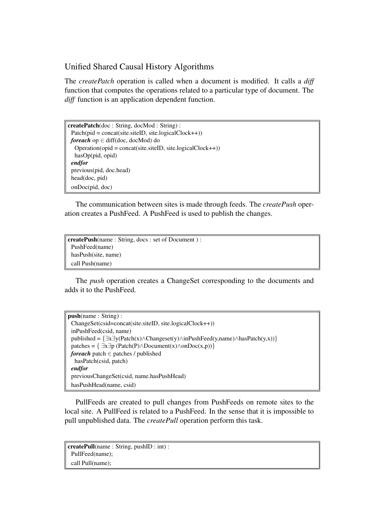#### Unified Shared Causal History Algorithms

The *createPatch* operation is called when a document is modified. It calls a *diff* function that computes the operations related to a particular type of document. The *diff* function is an application dependent function.

```
createPatch(doc : String, docMod : String) :
 Patch(pid = concat(size.sizeID, site.logicalClock++)foreach op ∈ diff(doc, docMod) do
  Operation (opid = concat(size.sizeID, site.logicalClock++) )hasOp(pid, opid)
 endfor
 previous(pid, doc.head)
 head(doc, pid)
 onDoc(pid, doc)
```
The communication between sites is made through feeds. The *createPush* operation creates a PushFeed. A PushFeed is used to publish the changes.

```
createPush(name : String, docs : set of Document ) :
 PushFeed(name)
 hasPush(site, name)
 call Push(name)
```
The *push* operation creates a ChangeSet corresponding to the documents and adds it to the PushFeed.

```
push(name : String) :
 ChangeSet(csid=concat(site.siteID, site.logicalClock++))
 inPushFeed(csid, name)
 published = \exists x \exists y (Patch(x) \land Changeset(y) \land inPushFeed(y, name) \land hasPatch(y, x))patches = \{ \exists x \exists p \ (Patch(P) \land Document(x) \land onDoc(x,p)) \}foreach patch \in patches / published
  hasPatch(csid, patch)
 endfor
 previousChangeSet(csid, name.hasPushHead)
 hasPushHead(name, csid)
```
PullFeeds are created to pull changes from PushFeeds on remote sites to the local site. A PullFeed is related to a PushFeed. In the sense that it is impossible to pull unpublished data. The *createPull* operation perform this task.

```
createPull(name : String, pushID : int) :
 PullFeed(name);
 call Pull(name);
```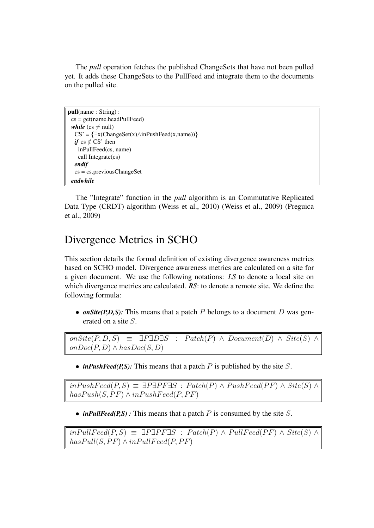The *pull* operation fetches the published ChangeSets that have not been pulled yet. It adds these ChangeSets to the PullFeed and integrate them to the documents on the pulled site.

```
pull(name : String) :
 cs = get(name.headPullFeed)
 while (cs \neq null)
  CS' = \{\exists x (ChangeSet(x) \land inPushFeed(x, name))\}if cs \notin CS' then
    inPullFeed(cs, name)
    call Integrate(cs)
  endif
  cs = cs.previousChangeSet
 endwhile
```
The "Integrate" function in the *pull* algorithm is an Commutative Replicated Data Type (CRDT) algorithm (Weiss et al., 2010) (Weiss et al., 2009) (Preguica et al., 2009)

# Divergence Metrics in SCHO

This section details the formal definition of existing divergence awareness metrics based on SCHO model. Divergence awareness metrics are calculated on a site for a given document. We use the following notations: *LS* to denote a local site on which divergence metrics are calculated. *RS*: to denote a remote site. We define the following formula:

• *onSite(P,D,S)*: This means that a patch P belongs to a document D was generated on a site S.

 $onSite(P, D, S) \equiv \exists P \exists D \exists S : \; Path(P) \land \; Document(D) \land \; Site(S) \land \;$  $onDoc(P, D) ∧ hasDoc(S, D)$ 

• *inPushFeed(P,S)*: This means that a patch  $P$  is published by the site  $S$ .

 $inPush Feed(P, S) \equiv \exists P \exists P \exists S : \mathit{Patch}(P) \land \mathit{PushFeed}(PF) \land \mathit{Site}(S) \land$  $hasPush(S, PF) \wedge inPush Feed(P, PF)$ 

• *inPullFeed(P,S)*: This means that a patch  $P$  is consumed by the site  $S$ .

 $inPullFeed(P, S) \equiv \exists P \exists P \exists S : \mathit{Patch}(P) \land \mathit{PullHead}(PF) \land \mathit{Site}(S) \land \emptyset$  $has Pull(S, PF) \wedge in PullFeed(P, PF)$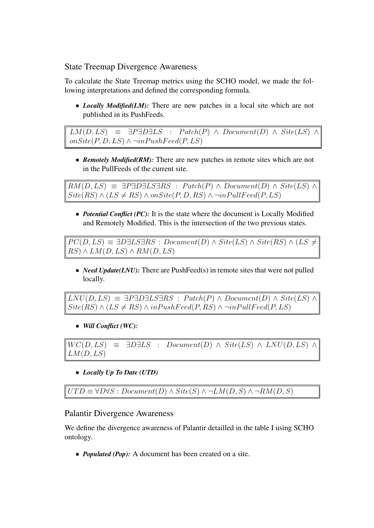State Treemap Divergence Awareness

To calculate the State Treemap metrics using the SCHO model, we made the following interpretations and defined the corresponding formula.

• *Locally Modified(LM):* There are new patches in a local site which are not published in its PushFeeds.

```
LM(D, LS) \equiv \exists P \exists D \exists LS \; : \; \mathit{Patch}(P) \land \mathit{Document}(D) \land \mathit{Site}(LS) \land \emptysetonSite(P, D, LS) \land \neg inPushFeed(P, LS)
```
• *Remotely Modified(RM):* There are new patches in remote sites which are not in the PullFeeds of the current site.

 $RM(D, LS) \equiv \exists P \exists D \exists LS \exists RS : \text{Patch}(P) \land \text{Document}(D) \land \text{Site}(LS) \land$  $Site(RS) \wedge (LS \neq RS) \wedge onSite(P, D, RS) \wedge \neg in PullFeed(P, LS)$ 

• *Potential Conflict (PC):* It is the state where the document is Locally Modified and Remotely Modified. This is the intersection of the two previous states.

 $PC(D, LS) \equiv \exists D \exists LS \exists RS : Document(D) \wedge Site(LS) \wedge Site(RS) \wedge (LS \neq$  $RS) \wedge LM(D, LS) \wedge RM(D, LS)$ 

• *Need Update(LNU):* There are PushFeed(s) in remote sites that were not pulled locally.

 $LNU(D, LS) \equiv \exists P \exists D \exists LS \exists RS : \mathit{Patch}(P) \wedge \mathit{Document}(D) \wedge \mathit{Site}(LS) \wedge$  $Site(RS) \wedge (LS \neq RS) \wedge inPushFeed(P, RS) \wedge \neg inPullFeed(P, LS)$ 

• *Will Conflict (WC):*

 $WC(D, LS) \equiv \exists D \exists LS \; : \; Document(D) \wedge Site(LS) \wedge LNU(D, LS) \wedge$  $LM(D, LS)$ 

• *Locally Up To Date (UTD)*

 $UTD \equiv \forall D \forall S : Document(D) \wedge Site(S) \wedge \neg LM(D, S) \wedge \neg RM(D, S)$ 

#### Palantir Divergence Awareness

We define the divergence awareness of Palantir detailled in the table I using SCHO ontology.

• *Populated (Pop):* A document has been created on a site.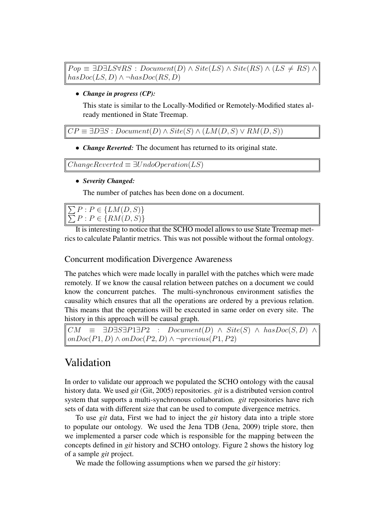$Pop \equiv \exists D \exists LS \forall RS : Document(D) \wedge Site(LS) \wedge Site(RS) \wedge (LS \neq RS) \wedge$  $hasDoc(LS, D) \wedge \neg hasDoc(RS, D)$ 

#### • *Change in progress (CP):*

This state is similar to the Locally-Modified or Remotely-Modified states already mentioned in State Treemap.

 $CP \equiv \exists D \exists S : Document(D) \wedge Site(S) \wedge (LM(D, S) \vee RM(D, S))$ 

• *Change Reverted:* The document has returned to its original state.

```
ChangeReverted \equiv \exists UndoOperation(LS)
```
#### • *Severity Changed:*

The number of patches has been done on a document.

| $\n  \bigg  \begin{matrix} \sum P : P \in \{LM(D,S)\} \\ \sum P : P \in \{RM(D,S)\} \end{matrix}$ |  |
|---------------------------------------------------------------------------------------------------|--|
|                                                                                                   |  |

It is interesting to notice that the SCHO model allows to use State Treemap metrics to calculate Palantir metrics. This was not possible without the formal ontology.

#### Concurrent modification Divergence Awareness

The patches which were made locally in parallel with the patches which were made remotely. If we know the causal relation between patches on a document we could know the concurrent patches. The multi-synchronous environment satisfies the causality which ensures that all the operations are ordered by a previous relation. This means that the operations will be executed in same order on every site. The history in this approach will be causal graph.

```
CM \equiv \exists D \exists S \exists P1 \exists P2 : Document(D) \wedge Site(S) \wedge hasDoc(S, D) \wedgeonDoc(P1, D) ∧ onDoc(P2, D) ∧ ¬previous(P1, P2)
```
# Validation

In order to validate our approach we populated the SCHO ontology with the causal history data. We used *git* (Git, 2005) repositories. *git* is a distributed version control system that supports a multi-synchronous collaboration. *git* repositories have rich sets of data with different size that can be used to compute divergence metrics.

To use *git* data, First we had to inject the *git* history data into a triple store to populate our ontology. We used the Jena TDB (Jena, 2009) triple store, then we implemented a parser code which is responsible for the mapping between the concepts defined in *git* history and SCHO ontology. Figure 2 shows the history log of a sample *git* project.

We made the following assumptions when we parsed the *git* history: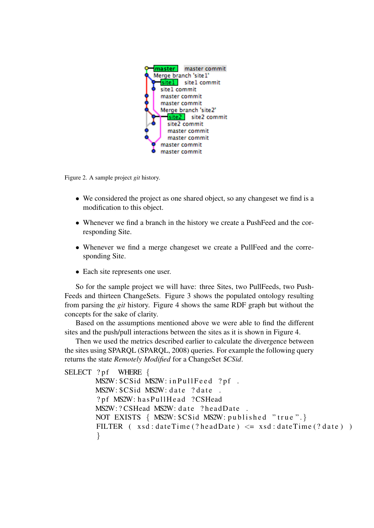

Figure 2. A sample project *git* history.

- We considered the project as one shared object, so any changeset we find is a modification to this object.
- Whenever we find a branch in the history we create a PushFeed and the corresponding Site.
- Whenever we find a merge changeset we create a PullFeed and the corresponding Site.
- Each site represents one user.

So for the sample project we will have: three Sites, two PullFeeds, two Push-Feeds and thirteen ChangeSets. Figure 3 shows the populated ontology resulting from parsing the *git* history. Figure 4 shows the same RDF graph but without the concepts for the sake of clarity.

Based on the assumptions mentioned above we were able to find the different sites and the push/pull interactions between the sites as it is shown in Figure 4.

Then we used the metrics described earlier to calculate the divergence between the sites using SPARQL (SPARQL, 2008) queries. For example the following query returns the state *Remotely Modified* for a ChangeSet \$*CSid*.

```
SELECT ? pf WHERE \{MS2W: SCSid MS2W: in Pull Feed ? pf.
       MS2W: SCSid MS2W: date ? date.
       ? pf MS2W: has Pull Head ? CSHead
       MS2W: ? CSHead MS2W: date ? headDate .
       NOT EXISTS { MS2W: $CSid MS2W: published "true".}
       FILTER (xsd: dateTime (?headDate) \leq xsd: dateTime (?date))
       }
```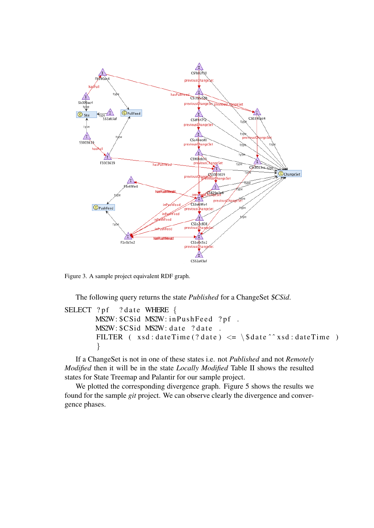

Figure 3. A sample project equivalent RDF graph.

The following query returns the state *Published* for a ChangeSet \$*CSid*.

```
SELECT ? pf ? date WHERE \{MS2W: SCSid MS2W: in Push Feed ? pf.
       MS2W: $CSid MS2W: date ? date.
       FILTER (xsd: dateTime (? date) \leq \ $date^^ xsd : date Time)
        }
```
If a ChangeSet is not in one of these states i.e. not *Published* and not *Remotely Modified* then it will be in the state *Locally Modified* Table II shows the resulted states for State Treemap and Palantir for our sample project.

We plotted the corresponding divergence graph. Figure 5 shows the results we found for the sample *git* project. We can observe clearly the divergence and convergence phases.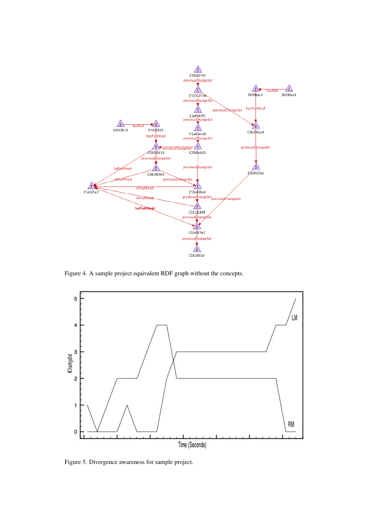

Figure 4. A sample project equivalent RDF graph without the concepts.



Figure 5. Divergence awareness for sample project.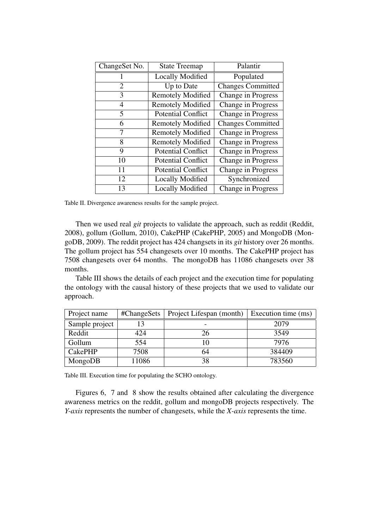| ChangeSet No.  | <b>State Treemap</b>      | Palantir                  |  |
|----------------|---------------------------|---------------------------|--|
|                | <b>Locally Modified</b>   | Populated                 |  |
| 2              | Up to Date                | <b>Changes Committed</b>  |  |
| 3              | <b>Remotely Modified</b>  | Change in Progress        |  |
| $\overline{4}$ | <b>Remotely Modified</b>  | Change in Progress        |  |
| 5              | <b>Potential Conflict</b> | <b>Change in Progress</b> |  |
| 6              | <b>Remotely Modified</b>  | <b>Changes Committed</b>  |  |
| 7              | <b>Remotely Modified</b>  | Change in Progress        |  |
| 8              | <b>Remotely Modified</b>  | Change in Progress        |  |
| 9              | <b>Potential Conflict</b> | Change in Progress        |  |
| 10             | <b>Potential Conflict</b> | Change in Progress        |  |
| 11             | <b>Potential Conflict</b> | Change in Progress        |  |
| 12             | <b>Locally Modified</b>   | Synchronized              |  |
| 13             | <b>Locally Modified</b>   | Change in Progress        |  |

Table II. Divergence awareness results for the sample project.

Then we used real *git* projects to validate the approach, such as reddit (Reddit, 2008), gollum (Gollum, 2010), CakePHP (CakePHP, 2005) and MongoDB (MongoDB, 2009). The reddit project has 424 changsets in its *git* history over 26 months. The gollum project has 554 changesets over 10 months. The CakePHP project has 7508 changesets over 64 months. The mongoDB has 11086 changesets over 38 months.

Table III shows the details of each project and the execution time for populating the ontology with the causal history of these projects that we used to validate our approach.

| Project name   | #ChangeSets | Project Lifespan (month) | Execution time $(ms)$ |
|----------------|-------------|--------------------------|-----------------------|
| Sample project | 13          |                          | 2079                  |
| Reddit         | 424         | 26                       | 3549                  |
| Gollum         | 554         |                          | 7976                  |
| <b>CakePHP</b> | 7508        | 64                       | 384409                |
| MongoDB        | 11086       | 38                       | 783560                |

Table III. Execution time for populating the SCHO ontology.

Figures 6, 7 and 8 show the results obtained after calculating the divergence awareness metrics on the reddit, gollum and mongoDB projects respectively. The *Y-axis* represents the number of changesets, while the *X-axis* represents the time.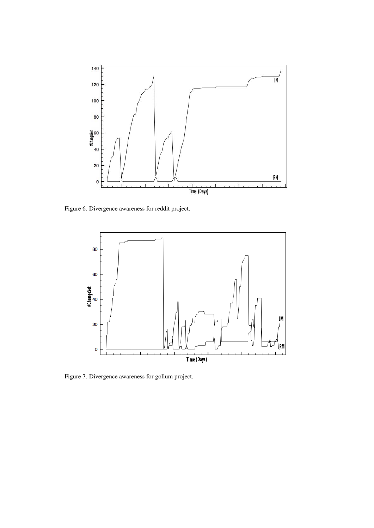

Figure 6. Divergence awareness for reddit project.



Figure 7. Divergence awareness for gollum project.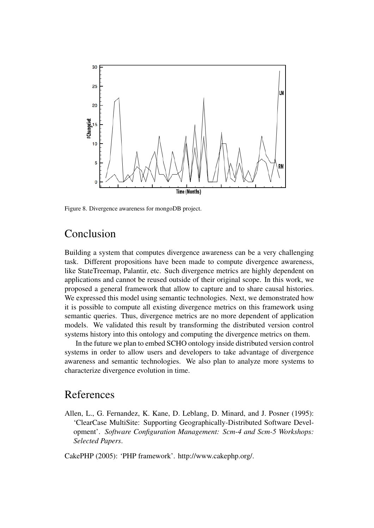

Figure 8. Divergence awareness for mongoDB project.

# Conclusion

Building a system that computes divergence awareness can be a very challenging task. Different propositions have been made to compute divergence awareness, like StateTreemap, Palantir, etc. Such divergence metrics are highly dependent on applications and cannot be reused outside of their original scope. In this work, we proposed a general framework that allow to capture and to share causal histories. We expressed this model using semantic technologies. Next, we demonstrated how it is possible to compute all existing divergence metrics on this framework using semantic queries. Thus, divergence metrics are no more dependent of application models. We validated this result by transforming the distributed version control systems history into this ontology and computing the divergence metrics on them.

In the future we plan to embed SCHO ontology inside distributed version control systems in order to allow users and developers to take advantage of divergence awareness and semantic technologies. We also plan to analyze more systems to characterize divergence evolution in time.

### References

Allen, L., G. Fernandez, K. Kane, D. Leblang, D. Minard, and J. Posner (1995): 'ClearCase MultiSite: Supporting Geographically-Distributed Software Development'. *Software Configuration Management: Scm-4 and Scm-5 Workshops: Selected Papers*.

CakePHP (2005): 'PHP framework'. http://www.cakephp.org/.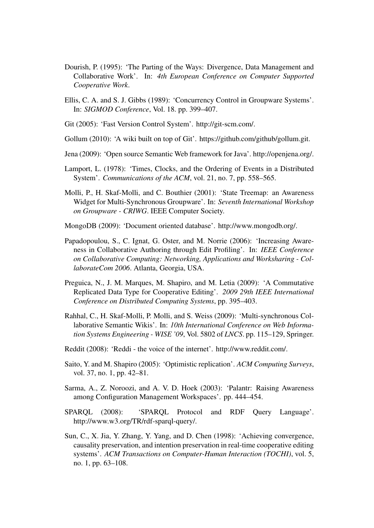- Dourish, P. (1995): 'The Parting of the Ways: Divergence, Data Management and Collaborative Work'. In: *4th European Conference on Computer Supported Cooperative Work*.
- Ellis, C. A. and S. J. Gibbs (1989): 'Concurrency Control in Groupware Systems'. In: *SIGMOD Conference*, Vol. 18. pp. 399–407.
- Git (2005): 'Fast Version Control System'. http://git-scm.com/.
- Gollum (2010): 'A wiki built on top of Git'. https://github.com/github/gollum.git.
- Jena (2009): 'Open source Semantic Web framework for Java'. http://openjena.org/.
- Lamport, L. (1978): 'Times, Clocks, and the Ordering of Events in a Distributed System'. *Communications of the ACM*, vol. 21, no. 7, pp. 558–565.
- Molli, P., H. Skaf-Molli, and C. Bouthier (2001): 'State Treemap: an Awareness Widget for Multi-Synchronous Groupware'. In: *Seventh International Workshop on Groupware - CRIWG*. IEEE Computer Society.
- MongoDB (2009): 'Document oriented database'. http://www.mongodb.org/.
- Papadopoulou, S., C. Ignat, G. Oster, and M. Norrie (2006): 'Increasing Awareness in Collaborative Authoring through Edit Profiling'. In: *IEEE Conference on Collaborative Computing: Networking, Applications and Worksharing - CollaborateCom 2006*. Atlanta, Georgia, USA.
- Preguica, N., J. M. Marques, M. Shapiro, and M. Letia (2009): 'A Commutative Replicated Data Type for Cooperative Editing'. *2009 29th IEEE International Conference on Distributed Computing Systems*, pp. 395–403.
- Rahhal, C., H. Skaf-Molli, P. Molli, and S. Weiss (2009): 'Multi-synchronous Collaborative Semantic Wikis'. In: *10th International Conference on Web Information Systems Engineering - WISE '09*, Vol. 5802 of *LNCS*. pp. 115–129, Springer.
- Reddit (2008): 'Reddi the voice of the internet'. http://www.reddit.com/.
- Saito, Y. and M. Shapiro (2005): 'Optimistic replication'. *ACM Computing Surveys*, vol. 37, no. 1, pp. 42–81.
- Sarma, A., Z. Noroozi, and A. V. D. Hoek (2003): 'Palantr: Raising Awareness among Configuration Management Workspaces'. pp. 444–454.
- SPARQL (2008): 'SPARQL Protocol and RDF Query Language'. http://www.w3.org/TR/rdf-sparql-query/.
- Sun, C., X. Jia, Y. Zhang, Y. Yang, and D. Chen (1998): 'Achieving convergence, causality preservation, and intention preservation in real-time cooperative editing systems'. *ACM Transactions on Computer-Human Interaction (TOCHI)*, vol. 5, no. 1, pp. 63–108.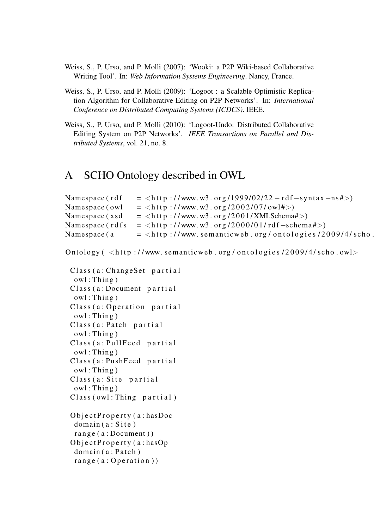- Weiss, S., P. Urso, and P. Molli (2007): 'Wooki: a P2P Wiki-based Collaborative Writing Tool'. In: *Web Information Systems Engineering*. Nancy, France.
- Weiss, S., P. Urso, and P. Molli (2009): 'Logoot : a Scalable Optimistic Replication Algorithm for Collaborative Editing on P2P Networks'. In: *International Conference on Distributed Computing Systems (ICDCS)*. IEEE.
- Weiss, S., P. Urso, and P. Molli (2010): 'Logoot-Undo: Distributed Collaborative Editing System on P2P Networks'. *IEEE Transactions on Parallel and Distributed Systems*, vol. 21, no. 8.

### A SCHO Ontology described in OWL

| Namespace (rdf   | $=$ <http: -="" -ns#="" -syntax="" 02="" 1999="" 22="" rdf="" www.w3.org="">)</http:> |
|------------------|---------------------------------------------------------------------------------------|
| Namespace (owl)  | $=$ <http: 07="" 2002="" owl#="" www.w3.org="">)</http:>                              |
| Namespace (xsd)  | $=$ <http: 2001="" www.w3.org="" xmlschema#="">)</http:>                              |
| Namespace (rdfs) | $=$ <http: 01="" 2000="" rdf-schema#="" www.w3.org="">)</http:>                       |
| Namespace (a)    | $=$ <http: 2009="" 4="" ontologies="" scho.<="" td="" www.semanticweb.org=""></http:> |

Ontology ( $\langle$ http://www.semanticweb.org/ontologies/2009/4/scho.owl>

```
Class (a: ChangeSet partial
 owl: <b>Things</b>)Class (a: Document partial
 owl: <b>Things</b>)Class (a: Operation partial
 owl: <b>Things</b>)Class (a: Patch partial
 owl: Thing)
Class (a: Pull Feed partial
 ow1: Thing)Class (a: PushFeed partial
 owl: Thing)
Class (a: Site partial
 owl: Thing)
Class (owl: Thing partial)O b ject Property (a: hasDoc
 domain(a: Site)range (a: Document))
ObjectProperty (a: hasOpdomain (a: Patch)
 range(a:Operation))
```